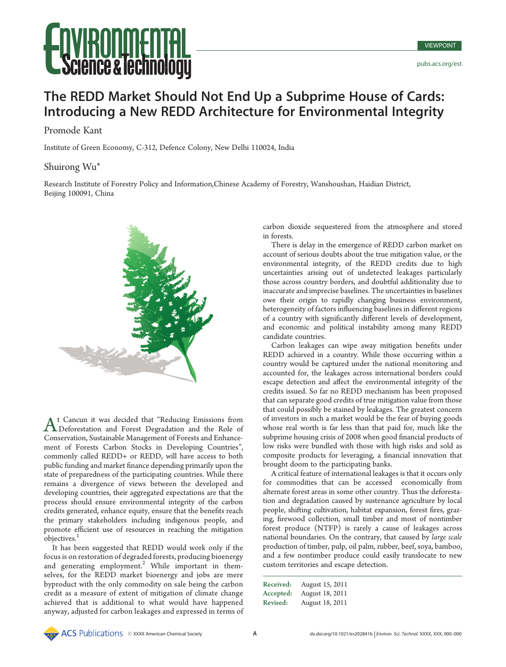# The REDD Market Should Not End Up a Subprime House of Cards: Introducing a New REDD Architecture for Environmental Integrity

# Promode Kant

Institute of Green Economy, C-312, Defence Colony, New Delhi 110024, India

# Shuirong Wu\*

Research Institute of Forestry Policy and Information,Chinese Academy of Forestry, Wanshoushan, Haidian District, Beijing 100091, China



At Cancun it was decided that "Reducing Emissions from<br>
Deforestation and Forest Degradation and the Role of Conservation, Sustainable Management of Forests and Enhancement of Forests Carbon Stocks in Developing Countries", commonly called REDD+ or REDD, will have access to both public funding and market finance depending primarily upon the state of preparedness of the participating countries. While there remains a divergence of views between the developed and developing countries, their aggregated expectations are that the process should ensure environmental integrity of the carbon credits generated, enhance equity, ensure that the benefits reach the primary stakeholders including indigenous people, and promote efficient use of resources in reaching the mitigation objectives.<sup>1</sup>

It has been suggested that REDD would work only if the focus is on restoration of degraded forests, producing bioenergy and generating employment.<sup>2</sup> While important in themselves, for the REDD market bioenergy and jobs are mere byproduct with the only commodity on sale being the carbon credit as a measure of extent of mitigation of climate change achieved that is additional to what would have happened anyway, adjusted for carbon leakages and expressed in terms of carbon dioxide sequestered from the atmosphere and stored in forests.

There is delay in the emergence of REDD carbon market on account of serious doubts about the true mitigation value, or the environmental integrity, of the REDD credits due to high uncertainties arising out of undetected leakages particularly those across country borders, and doubtful additionality due to inaccurate and imprecise baselines. The uncertainties in baselines owe their origin to rapidly changing business environment, heterogeneity of factors influencing baselines in different regions of a country with significantly different levels of development, and economic and political instability among many REDD candidate countries.

**PLATE THE REAL SOCIETY CONTROLLED CONTROLLED CONTROLLED CONTROLLED CONTROLLED CONTROLLED AND CONTROLLED CONTROLLED CONTROLLED CONTROLLED CONTROLLED CONTROLLED CONTROLLED CONTROLLED CONTROLLED CONTROLLED CONTROLLED CONTRO** Carbon leakages can wipe away mitigation benefits under REDD achieved in a country. While those occurring within a country would be captured under the national monitoring and accounted for, the leakages across international borders could escape detection and affect the environmental integrity of the credits issued. So far no REDD mechanism has been proposed that can separate good credits of true mitigation value from those that could possibly be stained by leakages. The greatest concern of investors in such a market would be the fear of buying goods whose real worth is far less than that paid for, much like the subprime housing crisis of 2008 when good financial products of low risks were bundled with those with high risks and sold as composite products for leveraging, a financial innovation that brought doom to the participating banks.

A critical feature of international leakages is that it occurs only for commodities that can be accessed economically from alternate forest areas in some other country. Thus the deforestation and degradation caused by sustenance agriculture by local people, shifting cultivation, habitat expansion, forest fires, grazing, firewood collection, small timber and most of nontimber forest produce (NTFP) is rarely a cause of leakages across national boundaries. On the contrary, that caused by large scale production of timber, pulp, oil palm, rubber, beef, soya, bamboo, and a few nontimber produce could easily translocate to new custom territories and escape detection.

| Received: | August 15, 2011 |
|-----------|-----------------|
| Accepted: | August 18, 2011 |
| Revised:  | August 18, 2011 |